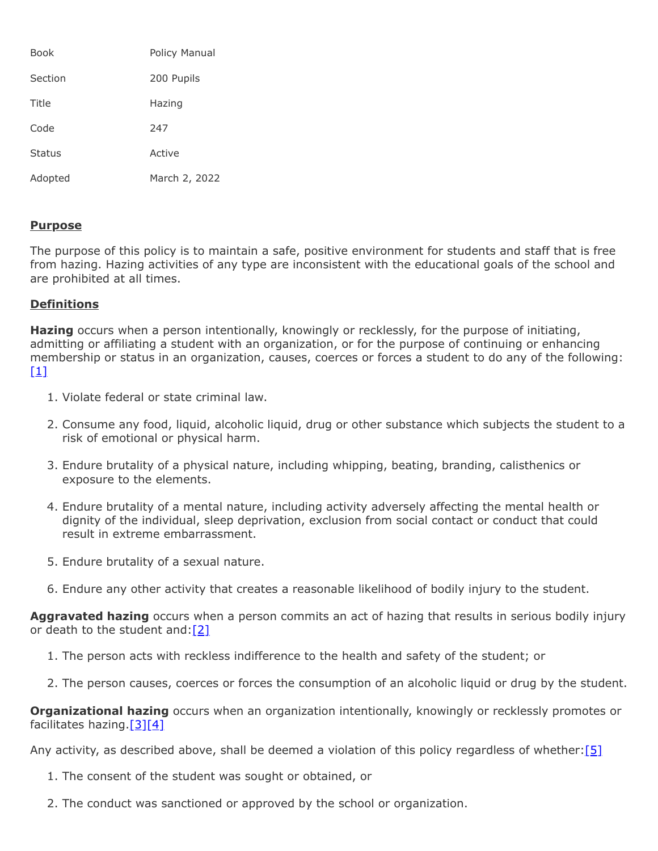| Book          | Policy Manual |
|---------------|---------------|
| Section       | 200 Pupils    |
| Title         | Hazing        |
| Code          | 247           |
| <b>Status</b> | Active        |
| Adopted       | March 2, 2022 |

## **Purpose**

The purpose of this policy is to maintain a safe, positive environment for students and staff that is free from hazing. Hazing activities of any type are inconsistent with the educational goals of the school and are prohibited at all times.

## **Definitions**

**Hazing** occurs when a person intentionally, knowingly or recklessly, for the purpose of initiating, admitting or affiliating a student with an organization, or for the purpose of continuing or enhancing membership or status in an organization, causes, coerces or forces a student to do any of the following:  $[1]$ 

- 1. Violate federal or state criminal law.
- 2. Consume any food, liquid, alcoholic liquid, drug or other substance which subjects the student to a risk of emotional or physical harm.
- 3. Endure brutality of a physical nature, including whipping, beating, branding, calisthenics or exposure to the elements.
- 4. Endure brutality of a mental nature, including activity adversely affecting the mental health or dignity of the individual, sleep deprivation, exclusion from social contact or conduct that could result in extreme embarrassment.
- 5. Endure brutality of a sexual nature.
- 6. Endure any other activity that creates a reasonable likelihood of bodily injury to the student.

**Aggravated hazing** occurs when a person commits an act of hazing that results in serious bodily injury or death to the student and:[\[2\]](https://www.legis.state.pa.us/cfdocs/legis/LI/consCheck.cfm?txtType=HTM&ttl=18&div=0&chpt=28&sctn=3&subsctn=0)

- 1. The person acts with reckless indifference to the health and safety of the student; or
- 2. The person causes, coerces or forces the consumption of an alcoholic liquid or drug by the student.

**Organizational hazing** occurs when an organization intentionally, knowingly or recklessly promotes or facilitates hazing[.\[3\]](https://www.legis.state.pa.us/cfdocs/legis/LI/consCheck.cfm?txtType=HTM&ttl=18&div=0&chpt=28&sctn=4&subsctn=0)[\[4\]](https://www.legis.state.pa.us/cfdocs/legis/LI/consCheck.cfm?txtType=HTM&ttl=18&div=0&chpt=28&sctn=8&subsctn=0)

Any activity, as described above, shall be deemed a violation of this policy regardless of whether:  $[5]$ 

- 1. The consent of the student was sought or obtained, or
- 2. The conduct was sanctioned or approved by the school or organization.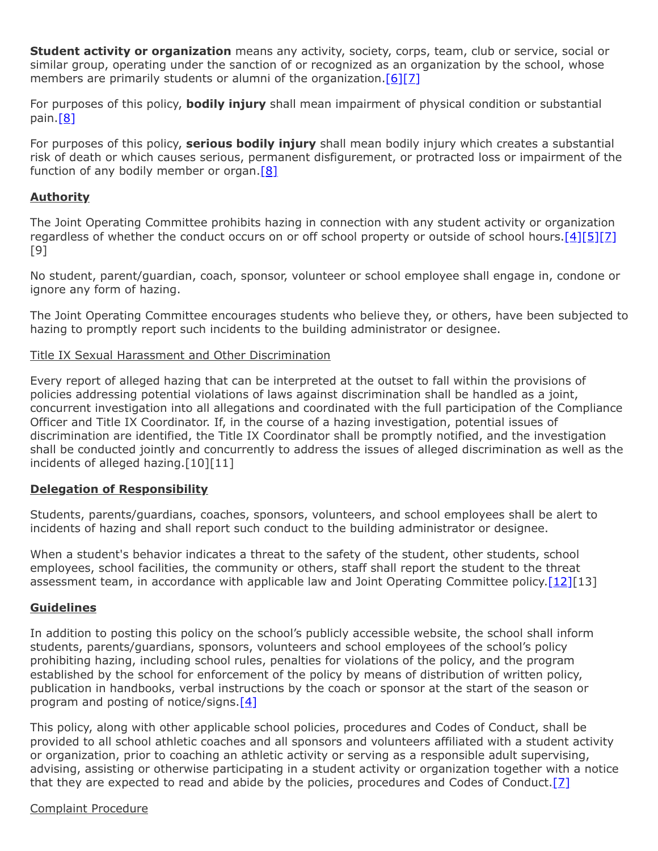**Student activity or organization** means any activity, society, corps, team, club or service, social or similar group, operating under the sanction of or recognized as an organization by the school, whose members are primarily students or alumni of the organization.[\[6\]](https://www.legis.state.pa.us/cfdocs/legis/LI/consCheck.cfm?txtType=HTM&ttl=18&div=0&chpt=28&sctn=1&subsctn=0)[\[7\]](http://www.legis.state.pa.us/cfdocs/legis/LI/uconsCheck.cfm?txtType=HTM&yr=1949&sessInd=0&smthLwInd=0&act=14&chpt=18&sctn=50&subsctn=1)

For purposes of this policy, **bodily injury** shall mean impairment of physical condition or substantial pain[.\[8\]](https://www.legis.state.pa.us/cfdocs/legis/LI/consCheck.cfm?txtType=HTM&ttl=18&div=0&chpt=23&sctn=1&subsctn=0)

For purposes of this policy, **serious bodily injury** shall mean bodily injury which creates a substantial risk of death or which causes serious, permanent disfigurement, or protracted loss or impairment of the function of any bodily member or organ. $[8]$ 

# **Authority**

The Joint Operating Committee prohibits hazing in connection with any student activity or organization regardless of whether the conduct occurs on or off school property or outside of school hours.[\[4\]](https://www.legis.state.pa.us/cfdocs/legis/LI/consCheck.cfm?txtType=HTM&ttl=18&div=0&chpt=28&sctn=8&subsctn=0)[\[5\]](https://www.legis.state.pa.us/cfdocs/legis/LI/consCheck.cfm?txtType=HTM&ttl=18&div=0&chpt=28&sctn=6&subsctn=0)[\[7\]](http://www.legis.state.pa.us/cfdocs/legis/LI/uconsCheck.cfm?txtType=HTM&yr=1949&sessInd=0&smthLwInd=0&act=14&chpt=18&sctn=50&subsctn=1) [9]

No student, parent/guardian, coach, sponsor, volunteer or school employee shall engage in, condone or ignore any form of hazing.

The Joint Operating Committee encourages students who believe they, or others, have been subjected to hazing to promptly report such incidents to the building administrator or designee.

## Title IX Sexual Harassment and Other Discrimination

Every report of alleged hazing that can be interpreted at the outset to fall within the provisions of policies addressing potential violations of laws against discrimination shall be handled as a joint, concurrent investigation into all allegations and coordinated with the full participation of the Compliance Officer and Title IX Coordinator. If, in the course of a hazing investigation, potential issues of discrimination are identified, the Title IX Coordinator shall be promptly notified, and the investigation shall be conducted jointly and concurrently to address the issues of alleged discrimination as well as the incidents of alleged hazing.[10][11]

## **Delegation of Responsibility**

Students, parents/guardians, coaches, sponsors, volunteers, and school employees shall be alert to incidents of hazing and shall report such conduct to the building administrator or designee.

When a student's behavior indicates a threat to the safety of the student, other students, school employees, school facilities, the community or others, staff shall report the student to the threat assessment team, in accordance with applicable law and Joint Operating Committee policy. [12] [13]

## **Guidelines**

In addition to posting this policy on the school's publicly accessible website, the school shall inform students, parents/guardians, sponsors, volunteers and school employees of the school's policy prohibiting hazing, including school rules, penalties for violations of the policy, and the program established by the school for enforcement of the policy by means of distribution of written policy, publication in handbooks, verbal instructions by the coach or sponsor at the start of the season or program and posting of notice/signs. $[4]$ 

This policy, along with other applicable school policies, procedures and Codes of Conduct, shall be provided to all school athletic coaches and all sponsors and volunteers affiliated with a student activity or organization, prior to coaching an athletic activity or serving as a responsible adult supervising, advising, assisting or otherwise participating in a student activity or organization together with a notice that they are expected to read and abide by the policies, procedures and Codes of Conduct[.\[7\]](http://www.legis.state.pa.us/cfdocs/legis/LI/uconsCheck.cfm?txtType=HTM&yr=1949&sessInd=0&smthLwInd=0&act=14&chpt=18&sctn=50&subsctn=1)

#### Complaint Procedure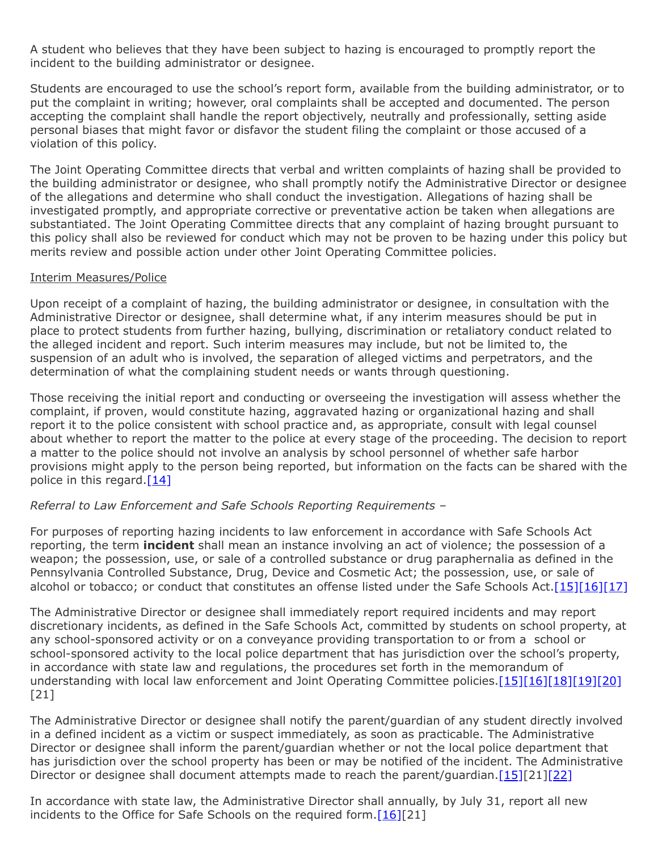A student who believes that they have been subject to hazing is encouraged to promptly report the incident to the building administrator or designee.

Students are encouraged to use the school's report form, available from the building administrator, or to put the complaint in writing; however, oral complaints shall be accepted and documented. The person accepting the complaint shall handle the report objectively, neutrally and professionally, setting aside personal biases that might favor or disfavor the student filing the complaint or those accused of a violation of this policy.

The Joint Operating Committee directs that verbal and written complaints of hazing shall be provided to the building administrator or designee, who shall promptly notify the Administrative Director or designee of the allegations and determine who shall conduct the investigation. Allegations of hazing shall be investigated promptly, and appropriate corrective or preventative action be taken when allegations are substantiated. The Joint Operating Committee directs that any complaint of hazing brought pursuant to this policy shall also be reviewed for conduct which may not be proven to be hazing under this policy but merits review and possible action under other Joint Operating Committee policies.

#### Interim Measures/Police

Upon receipt of a complaint of hazing, the building administrator or designee, in consultation with the Administrative Director or designee, shall determine what, if any interim measures should be put in place to protect students from further hazing, bullying, discrimination or retaliatory conduct related to the alleged incident and report. Such interim measures may include, but not be limited to, the suspension of an adult who is involved, the separation of alleged victims and perpetrators, and the determination of what the complaining student needs or wants through questioning.

Those receiving the initial report and conducting or overseeing the investigation will assess whether the complaint, if proven, would constitute hazing, aggravated hazing or organizational hazing and shall report it to the police consistent with school practice and, as appropriate, consult with legal counsel about whether to report the matter to the police at every stage of the proceeding. The decision to report a matter to the police should not involve an analysis by school personnel of whether safe harbor provisions might apply to the person being reported, but information on the facts can be shared with the police in this regard. $[14]$ 

## *Referral to Law Enforcement and Safe Schools Reporting Requirements –*

For purposes of reporting hazing incidents to law enforcement in accordance with Safe Schools Act reporting, the term **incident** shall mean an instance involving an act of violence; the possession of a weapon; the possession, use, or sale of a controlled substance or drug paraphernalia as defined in the Pennsylvania Controlled Substance, Drug, Device and Cosmetic Act; the possession, use, or sale of alcohol or tobacco; or conduct that constitutes an offense listed under the Safe Schools Act. [\[15\]](http://pacodeandbulletin.gov/Display/pacode?file=/secure/pacode/data/022/chapter10/s10.2.html&d=reduce)[\[16\]](http://www.legis.state.pa.us/cfdocs/legis/LI/uconsCheck.cfm?txtType=HTM&yr=1949&sessInd=0&smthLwInd=0&act=14&chpt=13A&sctn=3&subsctn=0)[\[17\]](http://www.legis.state.pa.us/cfdocs/legis/LI/uconsCheck.cfm?txtType=HTM&yr=1972&sessInd=0&smthLwInd=0&act=64&chpt=0&sctn=2&subsctn=0)

The Administrative Director or designee shall immediately report required incidents and may report discretionary incidents, as defined in the Safe Schools Act, committed by students on school property, at any school-sponsored activity or on a conveyance providing transportation to or from a school or school-sponsored activity to the local police department that has jurisdiction over the school's property, in accordance with state law and regulations, the procedures set forth in the memorandum of understanding with local law enforcement and Joint Operating Committee policies[.\[15\]](http://pacodeandbulletin.gov/Display/pacode?file=/secure/pacode/data/022/chapter10/s10.2.html&d=reduce)[\[16\]](http://www.legis.state.pa.us/cfdocs/legis/LI/uconsCheck.cfm?txtType=HTM&yr=1949&sessInd=0&smthLwInd=0&act=14&chpt=13A&sctn=3&subsctn=0)[\[18\]](http://pacodeandbulletin.gov/Display/pacode?file=/secure/pacode/data/022/chapter10/s10.21.html&d=reduce)[\[19\]](http://pacodeandbulletin.gov/Display/pacode?file=/secure/pacode/data/022/chapter10/s10.22.html&d=reduce)[\[20\]](http://www.legis.state.pa.us/cfdocs/legis/LI/uconsCheck.cfm?txtType=HTM&yr=1949&sessInd=0&smthLwInd=0&act=14&chpt=13A&sctn=2&subsctn=1) [21]

The Administrative Director or designee shall notify the parent/guardian of any student directly involved in a defined incident as a victim or suspect immediately, as soon as practicable. The Administrative Director or designee shall inform the parent/guardian whether or not the local police department that has jurisdiction over the school property has been or may be notified of the incident. The Administrative Director or designee shall document attempts made to reach the parent/guardian. [\[15\]](http://pacodeandbulletin.gov/Display/pacode?file=/secure/pacode/data/022/chapter10/s10.2.html&d=reduce)[21][\[22\]](http://pacodeandbulletin.gov/Display/pacode?file=/secure/pacode/data/022/chapter10/s10.25.html&d=reduce)

In accordance with state law, the Administrative Director shall annually, by July 31, report all new incidents to the Office for Safe Schools on the required form.<sup>[\[16\]\[](http://www.legis.state.pa.us/cfdocs/legis/LI/uconsCheck.cfm?txtType=HTM&yr=1949&sessInd=0&smthLwInd=0&act=14&chpt=13A&sctn=3&subsctn=0)21]</sup>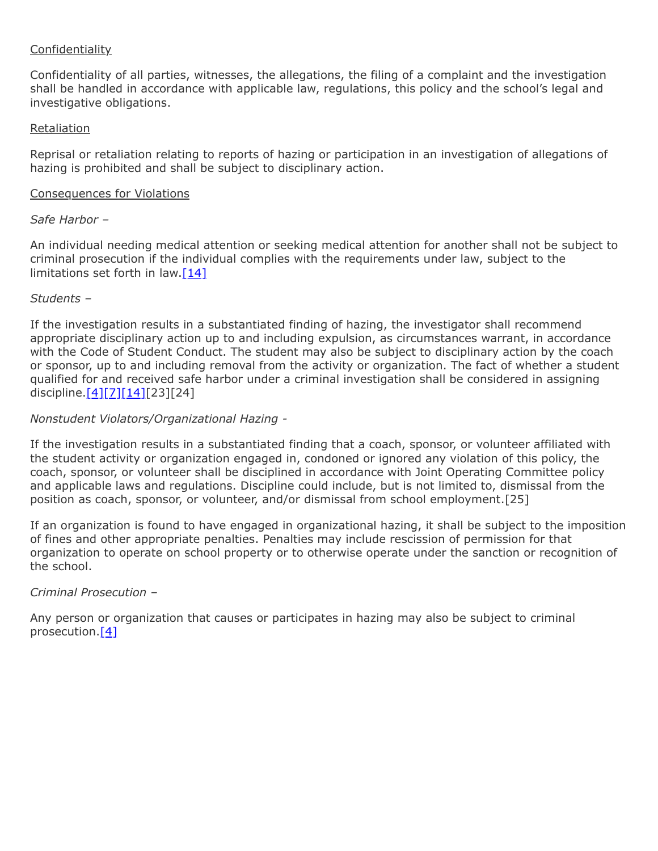# Confidentiality

Confidentiality of all parties, witnesses, the allegations, the filing of a complaint and the investigation shall be handled in accordance with applicable law, regulations, this policy and the school's legal and investigative obligations.

#### Retaliation

Reprisal or retaliation relating to reports of hazing or participation in an investigation of allegations of hazing is prohibited and shall be subject to disciplinary action.

#### Consequences for Violations

#### *Safe Harbor –*

An individual needing medical attention or seeking medical attention for another shall not be subject to criminal prosecution if the individual complies with the requirements under law, subject to the limitations set forth in law. $[14]$ 

## *Students –*

If the investigation results in a substantiated finding of hazing, the investigator shall recommend appropriate disciplinary action up to and including expulsion, as circumstances warrant, in accordance with the Code of Student Conduct. The student may also be subject to disciplinary action by the coach or sponsor, up to and including removal from the activity or organization. The fact of whether a student qualified for and received safe harbor under a criminal investigation shall be considered in assigning discipline.[\[4\]](https://www.legis.state.pa.us/cfdocs/legis/LI/consCheck.cfm?txtType=HTM&ttl=18&div=0&chpt=28&sctn=8&subsctn=0)[\[7\]](http://www.legis.state.pa.us/cfdocs/legis/LI/uconsCheck.cfm?txtType=HTM&yr=1949&sessInd=0&smthLwInd=0&act=14&chpt=18&sctn=50&subsctn=1)[\[14\]](https://www.legis.state.pa.us/cfdocs/legis/LI/consCheck.cfm?txtType=HTM&ttl=18&div=0&chpt=28&sctn=10&subsctn=0)[23][24]

#### *Nonstudent Violators/Organizational Hazing -*

If the investigation results in a substantiated finding that a coach, sponsor, or volunteer affiliated with the student activity or organization engaged in, condoned or ignored any violation of this policy, the coach, sponsor, or volunteer shall be disciplined in accordance with Joint Operating Committee policy and applicable laws and regulations. Discipline could include, but is not limited to, dismissal from the position as coach, sponsor, or volunteer, and/or dismissal from school employment.[25]

If an organization is found to have engaged in organizational hazing, it shall be subject to the imposition of fines and other appropriate penalties. Penalties may include rescission of permission for that organization to operate on school property or to otherwise operate under the sanction or recognition of the school.

## *Criminal Prosecution –*

Any person or organization that causes or participates in hazing may also be subject to criminal prosecution[.\[4\]](https://www.legis.state.pa.us/cfdocs/legis/LI/consCheck.cfm?txtType=HTM&ttl=18&div=0&chpt=28&sctn=8&subsctn=0)